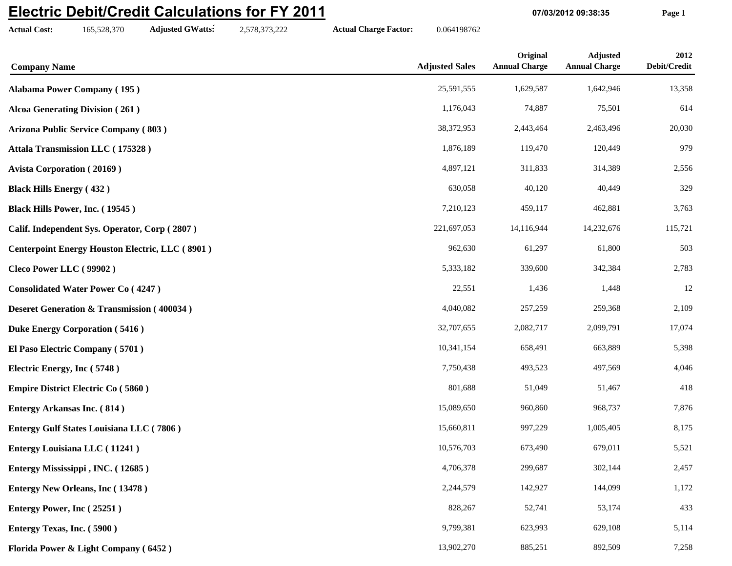## **Electric Debit/Credit Calculations for FY 2011**

**Actual Cost:** 165,528,370 **Adjusted GWatts:** 2,578,373,222 **Actual Charge Factor:** 0.064198762

**07/03/2012 09:38:35 Page 1**

| <b>Company Name</b>                                    | <b>Adjusted Sales</b> | Original<br><b>Annual Charge</b> | <b>Adjusted</b><br><b>Annual Charge</b> | 2012<br>Debit/Credit |
|--------------------------------------------------------|-----------------------|----------------------------------|-----------------------------------------|----------------------|
| <b>Alabama Power Company (195)</b>                     | 25,591,555            | 1,629,587                        | 1,642,946                               | 13,358               |
| <b>Alcoa Generating Division (261)</b>                 | 1,176,043             | 74,887                           | 75,501                                  | 614                  |
| <b>Arizona Public Service Company (803)</b>            | 38, 372, 953          | 2,443,464                        | 2,463,496                               | 20,030               |
| Attala Transmission LLC (175328)                       | 1,876,189             | 119,470                          | 120,449                                 | 979                  |
| <b>Avista Corporation (20169)</b>                      | 4,897,121             | 311,833                          | 314,389                                 | 2,556                |
| <b>Black Hills Energy (432)</b>                        | 630,058               | 40,120                           | 40,449                                  | 329                  |
| Black Hills Power, Inc. (19545)                        | 7,210,123             | 459,117                          | 462,881                                 | 3,763                |
| Calif. Independent Sys. Operator, Corp (2807)          | 221,697,053           | 14,116,944                       | 14,232,676                              | 115,721              |
| <b>Centerpoint Energy Houston Electric, LLC (8901)</b> | 962,630               | 61,297                           | 61,800                                  | 503                  |
| Cleco Power LLC (99902)                                | 5,333,182             | 339,600                          | 342,384                                 | 2,783                |
| <b>Consolidated Water Power Co (4247)</b>              | 22,551                | 1,436                            | 1,448                                   | 12                   |
| <b>Deseret Generation &amp; Transmission (400034)</b>  | 4,040,082             | 257,259                          | 259,368                                 | 2,109                |
| <b>Duke Energy Corporation (5416)</b>                  | 32,707,655            | 2,082,717                        | 2,099,791                               | 17,074               |
| El Paso Electric Company (5701)                        | 10,341,154            | 658,491                          | 663,889                                 | 5,398                |
| Electric Energy, Inc (5748)                            | 7,750,438             | 493,523                          | 497,569                                 | 4,046                |
| <b>Empire District Electric Co (5860)</b>              | 801,688               | 51,049                           | 51,467                                  | 418                  |
| <b>Entergy Arkansas Inc. (814)</b>                     | 15,089,650            | 960,860                          | 968,737                                 | 7,876                |
| <b>Entergy Gulf States Louisiana LLC (7806)</b>        | 15,660,811            | 997,229                          | 1,005,405                               | 8,175                |
| <b>Entergy Louisiana LLC</b> (11241)                   | 10,576,703            | 673,490                          | 679,011                                 | 5,521                |
| Entergy Mississippi, INC. (12685)                      | 4,706,378             | 299,687                          | 302,144                                 | 2,457                |
| <b>Entergy New Orleans, Inc (13478)</b>                | 2,244,579             | 142,927                          | 144,099                                 | 1,172                |
| Entergy Power, Inc (25251)                             | 828,267               | 52,741                           | 53,174                                  | 433                  |
| Entergy Texas, Inc. (5900)                             | 9,799,381             | 623,993                          | 629,108                                 | 5,114                |
| Florida Power & Light Company (6452)                   | 13,902,270            | 885,251                          | 892,509                                 | 7,258                |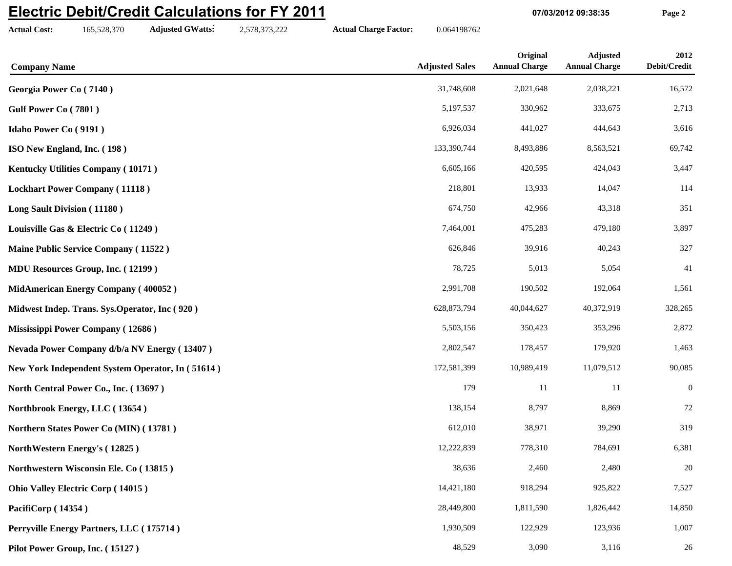## **Electric Debit/Credit Calculations for FY 2011**

**Actual Cost:** 165,528,370 **Adjusted GWatts:** 2,578,373,222 **Actual Charge Factor:** 0.064198762

**07/03/2012 09:38:35 Page 2**

| <b>Company Name</b>                              | <b>Adjusted Sales</b> | Original<br><b>Annual Charge</b> | <b>Adjusted</b><br><b>Annual Charge</b> | 2012<br>Debit/Credit |
|--------------------------------------------------|-----------------------|----------------------------------|-----------------------------------------|----------------------|
| Georgia Power Co (7140)                          | 31,748,608            | 2,021,648                        | 2,038,221                               | 16,572               |
| Gulf Power Co (7801)                             | 5,197,537             | 330,962                          | 333,675                                 | 2,713                |
| <b>Idaho Power Co (9191)</b>                     | 6,926,034             | 441,027                          | 444,643                                 | 3,616                |
| ISO New England, Inc. (198)                      | 133,390,744           | 8,493,886                        | 8,563,521                               | 69,742               |
| Kentucky Utilities Company (10171)               | 6,605,166             | 420,595                          | 424,043                                 | 3,447                |
| <b>Lockhart Power Company (11118)</b>            | 218,801               | 13,933                           | 14,047                                  | 114                  |
| Long Sault Division (11180)                      | 674,750               | 42,966                           | 43,318                                  | 351                  |
| Louisville Gas & Electric Co (11249)             | 7,464,001             | 475,283                          | 479,180                                 | 3,897                |
| <b>Maine Public Service Company (11522)</b>      | 626,846               | 39,916                           | 40,243                                  | 327                  |
| <b>MDU Resources Group, Inc. (12199)</b>         | 78,725                | 5,013                            | 5,054                                   | 41                   |
| MidAmerican Energy Company (400052)              | 2,991,708             | 190,502                          | 192,064                                 | 1,561                |
| Midwest Indep. Trans. Sys.Operator, Inc (920)    | 628, 873, 794         | 40,044,627                       | 40,372,919                              | 328,265              |
| Mississippi Power Company (12686)                | 5,503,156             | 350,423                          | 353,296                                 | 2,872                |
| Nevada Power Company d/b/a NV Energy (13407)     | 2,802,547             | 178,457                          | 179,920                                 | 1,463                |
| New York Independent System Operator, In (51614) | 172,581,399           | 10,989,419                       | 11,079,512                              | 90,085               |
| North Central Power Co., Inc. (13697)            | 179                   | 11                               | 11                                      | $\boldsymbol{0}$     |
| Northbrook Energy, LLC (13654)                   | 138,154               | 8,797                            | 8,869                                   | 72                   |
| Northern States Power Co (MIN) (13781)           | 612,010               | 38,971                           | 39,290                                  | 319                  |
| NorthWestern Energy's (12825)                    | 12,222,839            | 778,310                          | 784,691                                 | 6,381                |
| Northwestern Wisconsin Ele. Co (13815)           | 38,636                | 2,460                            | 2,480                                   | $20\,$               |
| <b>Ohio Valley Electric Corp (14015)</b>         | 14,421,180            | 918,294                          | 925,822                                 | 7,527                |
| PacifiCorp (14354)                               | 28,449,800            | 1,811,590                        | 1,826,442                               | 14,850               |
| Perryville Energy Partners, LLC (175714)         | 1,930,509             | 122,929                          | 123,936                                 | 1,007                |
| Pilot Power Group, Inc. (15127)                  | 48,529                | 3,090                            | 3,116                                   | 26                   |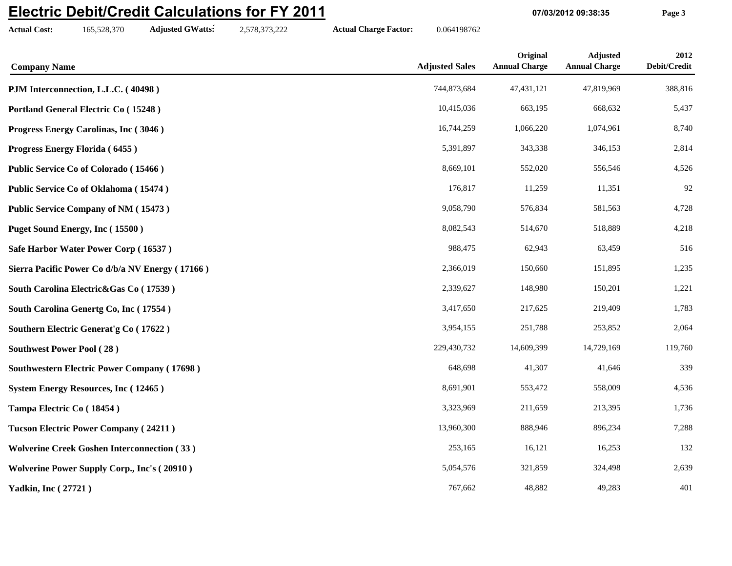## **Electric Debit/Credit Calculations for FY 2011**

**Actual Cost:** 165,528,370 **Adjusted GWatts:** 2,578,373,222 **Actual Charge Factor:** 0.064198762

**07/03/2012 09:38:35 Page 3**

| <b>Company Name</b>                                | <b>Adjusted Sales</b> | Original<br><b>Annual Charge</b> | <b>Adjusted</b><br><b>Annual Charge</b> | 2012<br>Debit/Credit |
|----------------------------------------------------|-----------------------|----------------------------------|-----------------------------------------|----------------------|
| PJM Interconnection, L.L.C. (40498)                | 744,873,684           | 47,431,121                       | 47,819,969                              | 388,816              |
| Portland General Electric Co (15248)               | 10,415,036            | 663,195                          | 668,632                                 | 5,437                |
| Progress Energy Carolinas, Inc (3046)              | 16,744,259            | 1,066,220                        | 1,074,961                               | 8,740                |
| Progress Energy Florida (6455)                     | 5,391,897             | 343,338                          | 346,153                                 | 2,814                |
| Public Service Co of Colorado (15466)              | 8,669,101             | 552,020                          | 556,546                                 | 4,526                |
| Public Service Co of Oklahoma (15474)              | 176,817               | 11,259                           | 11,351                                  | 92                   |
| <b>Public Service Company of NM (15473)</b>        | 9,058,790             | 576,834                          | 581,563                                 | 4,728                |
| Puget Sound Energy, Inc (15500)                    | 8,082,543             | 514,670                          | 518,889                                 | 4,218                |
| Safe Harbor Water Power Corp (16537)               | 988,475               | 62,943                           | 63,459                                  | 516                  |
| Sierra Pacific Power Co d/b/a NV Energy (17166)    | 2,366,019             | 150,660                          | 151,895                                 | 1,235                |
| South Carolina Electric&Gas Co (17539)             | 2,339,627             | 148,980                          | 150,201                                 | 1,221                |
| South Carolina Genertg Co, Inc (17554)             | 3,417,650             | 217,625                          | 219,409                                 | 1,783                |
| Southern Electric Generat'g Co (17622)             | 3,954,155             | 251,788                          | 253,852                                 | 2,064                |
| <b>Southwest Power Pool (28)</b>                   | 229,430,732           | 14,609,399                       | 14,729,169                              | 119,760              |
| <b>Southwestern Electric Power Company (17698)</b> | 648,698               | 41,307                           | 41,646                                  | 339                  |
| <b>System Energy Resources, Inc (12465)</b>        | 8,691,901             | 553,472                          | 558,009                                 | 4,536                |
| Tampa Electric Co (18454)                          | 3,323,969             | 211,659                          | 213,395                                 | 1,736                |
| <b>Tucson Electric Power Company (24211)</b>       | 13,960,300            | 888,946                          | 896,234                                 | 7,288                |
| <b>Wolverine Creek Goshen Interconnection (33)</b> | 253,165               | 16,121                           | 16,253                                  | 132                  |
| <b>Wolverine Power Supply Corp., Inc's (20910)</b> | 5,054,576             | 321,859                          | 324,498                                 | 2,639                |
| <b>Yadkin, Inc (27721)</b>                         | 767,662               | 48,882                           | 49,283                                  | 401                  |